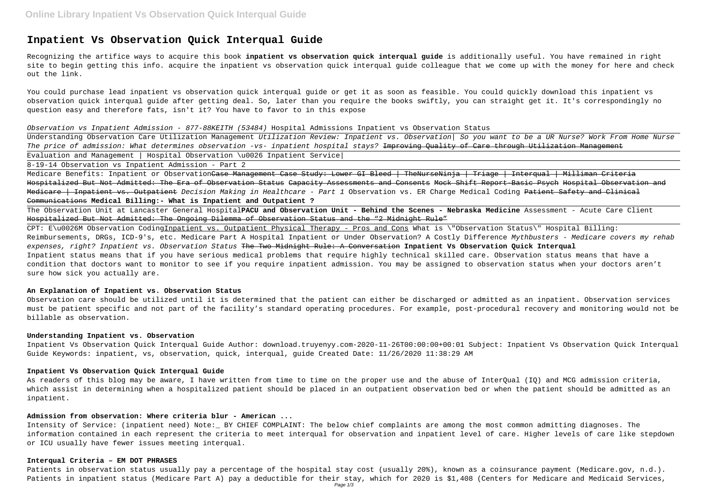# **Inpatient Vs Observation Quick Interqual Guide**

Recognizing the artifice ways to acquire this book **inpatient vs observation quick interqual guide** is additionally useful. You have remained in right site to begin getting this info. acquire the inpatient vs observation quick interqual guide colleague that we come up with the money for here and check out the link.

You could purchase lead inpatient vs observation quick interqual guide or get it as soon as feasible. You could quickly download this inpatient vs observation quick interqual guide after getting deal. So, later than you require the books swiftly, you can straight get it. It's correspondingly no question easy and therefore fats, isn't it? You have to favor to in this expose

#### Observation vs Inpatient Admission - 877-88KEITH (53484) Hospital Admissions Inpatient vs Observation Status

Medicare Benefits: Inpatient or Observation<del>Case Management Case Study: Lower GI Bleed | TheNurseNinja | Triage | Interqual | Milliman Criteria</del> Hospitalized But Not Admitted: The Era of Observation Status Capacity Assessments and Consents Mock Shift Report-Basic Psych Hospital Observation and Medicare | Inpatient vs. Outpatient Decision Making in Healthcare - Part 1 Observation vs. ER Charge Medical Coding Patient Safety and Clinical Communications **Medical Billing:- What is Inpatient and Outpatient ?**

Understanding Observation Care Utilization Management Utilization Review: Inpatient vs. Observation| So you want to be a UR Nurse? Work From Home Nurse The price of admission: What determines observation -vs- inpatient hospital stays? Improving Quality of Care through Utilization Management Evaluation and Management | Hospital Observation \u0026 Inpatient Service|

8-19-14 Observation vs Inpatient Admission - Part 2

The Observation Unit at Lancaster General Hospital**PACU and Observation Unit - Behind the Scenes - Nebraska Medicine** Assessment - Acute Care Client Hospitalized But Not Admitted: The Ongoing Dilemma of Observation Status and the "2 Midnight Rule"

CPT: E\u0026M Observation CodingInpatient vs. Outpatient Physical Therapy - Pros and Cons What is \"Observation Status\" Hospital Billing: Reimbursements, DRGs, ICD-9's, etc. Medicare Part A Hospital Inpatient or Under Observation? A Costly Difference Mythbusters - Medicare covers my rehab expenses, right? Inpatient vs. Observation Status The Two Midnight Rule: A Conversation **Inpatient Vs Observation Quick Interqual** Inpatient status means that if you have serious medical problems that require highly technical skilled care. Observation status means that have a condition that doctors want to monitor to see if you require inpatient admission. You may be assigned to observation status when your doctors aren't sure how sick you actually are.

# **An Explanation of Inpatient vs. Observation Status**

Observation care should be utilized until it is determined that the patient can either be discharged or admitted as an inpatient. Observation services must be patient specific and not part of the facility's standard operating procedures. For example, post-procedural recovery and monitoring would not be billable as observation.

# **Understanding Inpatient vs. Observation**

Inpatient Vs Observation Quick Interqual Guide Author: download.truyenyy.com-2020-11-26T00:00:00+00:01 Subject: Inpatient Vs Observation Quick Interqual Guide Keywords: inpatient, vs, observation, quick, interqual, guide Created Date: 11/26/2020 11:38:29 AM

# **Inpatient Vs Observation Quick Interqual Guide**

As readers of this blog may be aware, I have written from time to time on the proper use and the abuse of InterQual (IQ) and MCG admission criteria, which assist in determining when a hospitalized patient should be placed in an outpatient observation bed or when the patient should be admitted as an inpatient.

## **Admission from observation: Where criteria blur - American ...**

Intensity of Service: (inpatient need) Note:\_ BY CHIEF COMPLAINT: The below chief complaints are among the most common admitting diagnoses. The information contained in each represent the criteria to meet interqual for observation and inpatient level of care. Higher levels of care like stepdown or ICU usually have fewer issues meeting interqual.

#### **Interqual Criteria – EM DOT PHRASES**

Patients in observation status usually pay a percentage of the hospital stay cost (usually 20%), known as a coinsurance payment (Medicare.gov, n.d.). Patients in inpatient status (Medicare Part A) pay a deductible for their stay, which for 2020 is \$1,408 (Centers for Medicare and Medicaid Services,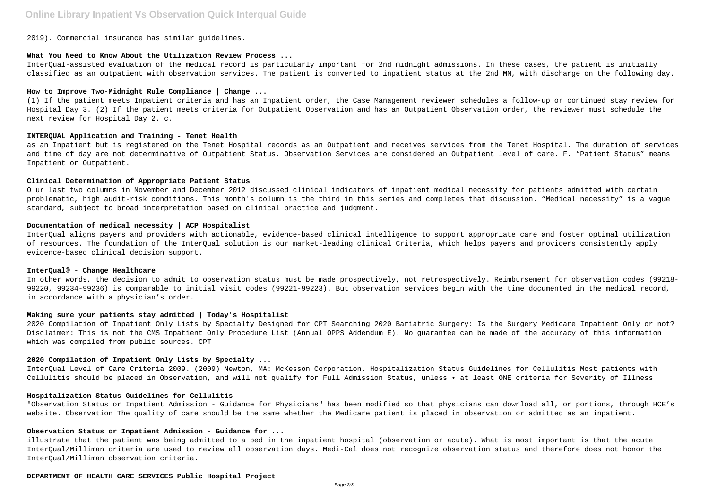# **Online Library Inpatient Vs Observation Quick Interqual Guide**

2019). Commercial insurance has similar guidelines.

# **What You Need to Know About the Utilization Review Process ...**

InterQual-assisted evaluation of the medical record is particularly important for 2nd midnight admissions. In these cases, the patient is initially classified as an outpatient with observation services. The patient is converted to inpatient status at the 2nd MN, with discharge on the following day.

# **How to Improve Two-Midnight Rule Compliance | Change ...**

(1) If the patient meets Inpatient criteria and has an Inpatient order, the Case Management reviewer schedules a follow-up or continued stay review for Hospital Day 3. (2) If the patient meets criteria for Outpatient Observation and has an Outpatient Observation order, the reviewer must schedule the next review for Hospital Day 2. c.

# **INTERQUAL Application and Training - Tenet Health**

as an Inpatient but is registered on the Tenet Hospital records as an Outpatient and receives services from the Tenet Hospital. The duration of services and time of day are not determinative of Outpatient Status. Observation Services are considered an Outpatient level of care. F. "Patient Status" means Inpatient or Outpatient.

#### **Clinical Determination of Appropriate Patient Status**

O ur last two columns in November and December 2012 discussed clinical indicators of inpatient medical necessity for patients admitted with certain problematic, high audit-risk conditions. This month's column is the third in this series and completes that discussion. "Medical necessity" is a vague standard, subject to broad interpretation based on clinical practice and judgment.

# **Documentation of medical necessity | ACP Hospitalist**

InterQual aligns payers and providers with actionable, evidence-based clinical intelligence to support appropriate care and foster optimal utilization of resources. The foundation of the InterQual solution is our market-leading clinical Criteria, which helps payers and providers consistently apply evidence-based clinical decision support.

#### **InterQual® - Change Healthcare**

In other words, the decision to admit to observation status must be made prospectively, not retrospectively. Reimbursement for observation codes (99218- 99220, 99234-99236) is comparable to initial visit codes (99221-99223). But observation services begin with the time documented in the medical record, in accordance with a physician's order.

# **Making sure your patients stay admitted | Today's Hospitalist**

2020 Compilation of Inpatient Only Lists by Specialty Designed for CPT Searching 2020 Bariatric Surgery: Is the Surgery Medicare Inpatient Only or not? Disclaimer: This is not the CMS Inpatient Only Procedure List (Annual OPPS Addendum E). No guarantee can be made of the accuracy of this information which was compiled from public sources. CPT

#### **2020 Compilation of Inpatient Only Lists by Specialty ...**

InterQual Level of Care Criteria 2009. (2009) Newton, MA: McKesson Corporation. Hospitalization Status Guidelines for Cellulitis Most patients with Cellulitis should be placed in Observation, and will not qualify for Full Admission Status, unless • at least ONE criteria for Severity of Illness

# **Hospitalization Status Guidelines for Cellulitis**

"Observation Status or Inpatient Admission - Guidance for Physicians" has been modified so that physicians can download all, or portions, through HCE's website. Observation The quality of care should be the same whether the Medicare patient is placed in observation or admitted as an inpatient.

#### **Observation Status or Inpatient Admission - Guidance for ...**

illustrate that the patient was being admitted to a bed in the inpatient hospital (observation or acute). What is most important is that the acute InterQual/Milliman criteria are used to review all observation days. Medi-Cal does not recognize observation status and therefore does not honor the InterQual/Milliman observation criteria.

# **DEPARTMENT OF HEALTH CARE SERVICES Public Hospital Project**